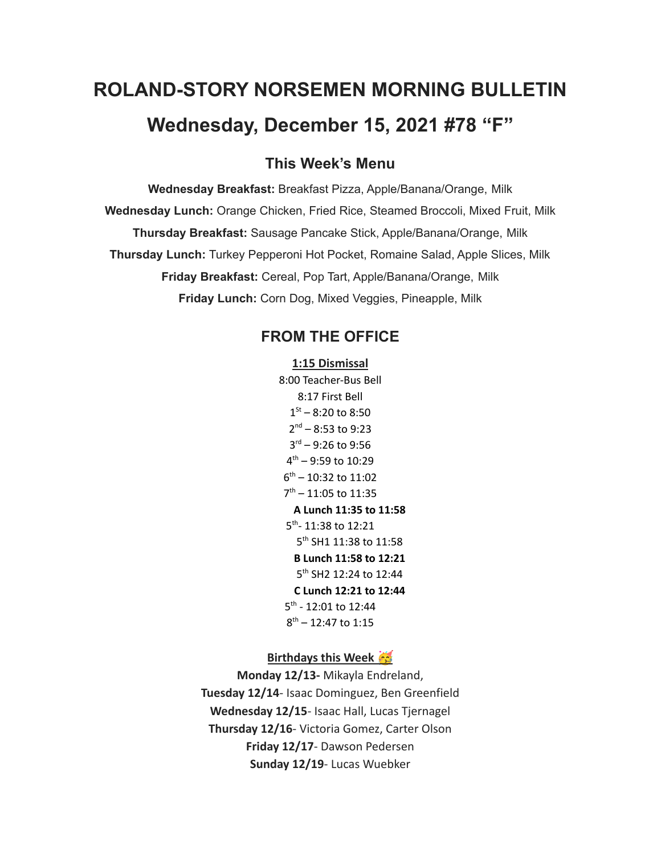# **ROLAND-STORY NORSEMEN MORNING BULLETIN Wednesday, December 15, 2021 #78 "F"**

# **This Week's Menu**

**Wednesday Breakfast:** Breakfast Pizza, Apple/Banana/Orange, Milk **Wednesday Lunch:** Orange Chicken, Fried Rice, Steamed Broccoli, Mixed Fruit, Milk **Thursday Breakfast:** Sausage Pancake Stick, Apple/Banana/Orange, Milk **Thursday Lunch:** Turkey Pepperoni Hot Pocket, Romaine Salad, Apple Slices, Milk **Friday Breakfast:** Cereal, Pop Tart, Apple/Banana/Orange, Milk **Friday Lunch:** Corn Dog, Mixed Veggies, Pineapple, Milk

# **FROM THE OFFICE**

#### **1:15 Dismissal**

8:00 Teacher-Bus Bell 8:17 First Bell  $1<sup>St</sup> - 8:20$  to 8:50 2 nd – 8:53 to 9:23 3 rd – 9:26 to 9:56 4 th – 9:59 to 10:29 6 th – 10:32 to 11:02 7 th – 11:05 to 11:35 **A Lunch 11:35 to 11:58** 5<sup>th</sup>- 11:38 to 12:21 5 th SH1 11:38 to 11:58 **B Lunch 11:58 to 12:21** 5<sup>th</sup> SH2 12:24 to 12:44 **C Lunch 12:21 to 12:44** 5<sup>th</sup> - 12:01 to 12:44 8 th – 12:47 to 1:15

## **Birthdays this Week**

**Monday 12/13-** Mikayla Endreland, **Tuesday 12/14**- Isaac Dominguez, Ben Greenfield **Wednesday 12/15**- Isaac Hall, Lucas Tjernagel **Thursday 12/16**- Victoria Gomez, Carter Olson **Friday 12/17**- Dawson Pedersen **Sunday 12/19**- Lucas Wuebker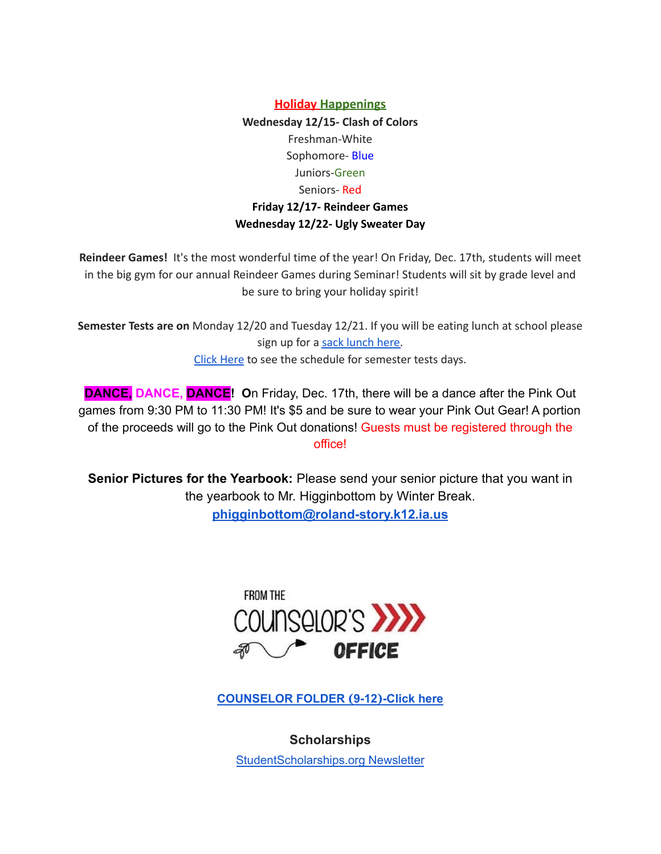**Holiday Happenings Wednesday 12/15- Clash of Colors** Freshman-White Sophomore- Blue Juniors-Green Seniors- Red **Friday 12/17- Reindeer Games Wednesday 12/22- Ugly Sweater Day**

**Reindeer Games!** It's the most wonderful time of the year! On Friday, Dec. 17th, students will meet in the big gym for our annual Reindeer Games during Seminar! Students will sit by grade level and be sure to bring your holiday spirit!

**Semester Tests are on** Monday 12/20 and Tuesday 12/21. If you will be eating lunch at school please sign up for a sack [lunch](https://forms.gle/QJb3jvN4BkYbhZeYA) here. Click [Here](https://drive.google.com/file/d/1f_W_f9rcsywnweiwi6fCuPDOMZBp9ou-/view?usp=sharing) to see the schedule for semester tests days.

**DANCE, DANCE, DANCE! O**n Friday, Dec. 17th, there will be a dance after the Pink Out games from 9:30 PM to 11:30 PM! It's \$5 and be sure to wear your Pink Out Gear! A portion of the proceeds will go to the Pink Out donations! Guests must be registered through the office!

**Senior Pictures for the Yearbook:** Please send your senior picture that you want in the yearbook to Mr. Higginbottom by Winter Break. **[phigginbottom@roland-story.k12.ia.us](mailto:phigginbottom@roland-story.k12.ia.us)**



**[COUNSELOR](https://docs.google.com/document/d/1vmwczNPbDzXe9vFaG5LJMQ7NYDv-i4oQJHybqA65TUc/edit?usp=sharing) FOLDER (9-12)-Click here**

**Scholarships**

[StudentScholarships.org](https://drive.google.com/file/d/1cHb9nmjbM_KTmxsJMZ9qrM2AN8PnELNo/view?usp=sharing) Newsletter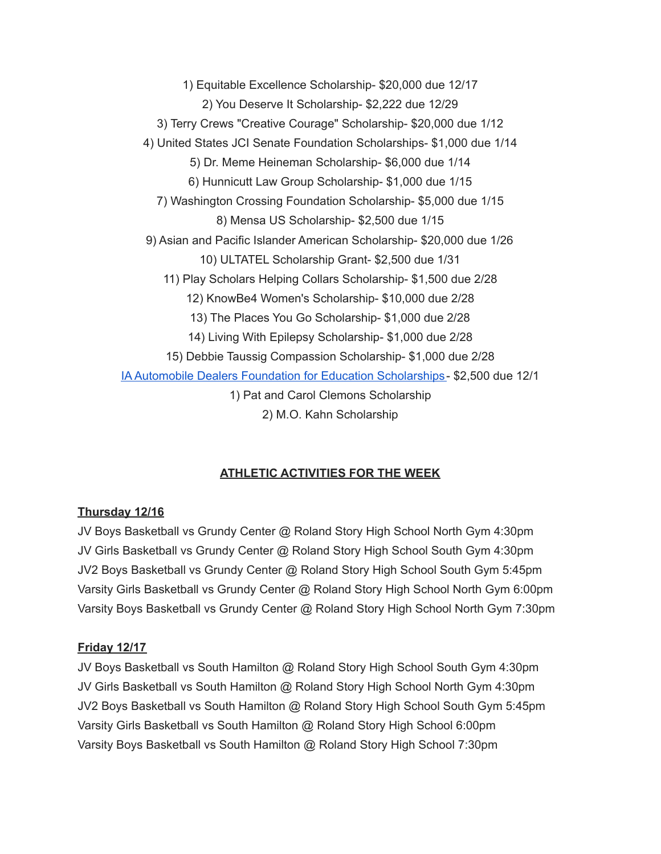1) Equitable Excellence Scholarship- \$20,000 due 12/17 2) You Deserve It Scholarship- \$2,222 due 12/29 3) Terry Crews "Creative Courage" Scholarship- \$20,000 due 1/12 4) United States JCI Senate Foundation Scholarships- \$1,000 due 1/14 5) Dr. Meme Heineman Scholarship- \$6,000 due 1/14 6) Hunnicutt Law Group Scholarship- \$1,000 due 1/15 7) Washington Crossing Foundation Scholarship- \$5,000 due 1/15 8) Mensa US Scholarship- \$2,500 due 1/15 9) Asian and Pacific Islander American Scholarship- \$20,000 due 1/26 10) ULTATEL Scholarship Grant- \$2,500 due 1/31 11) Play Scholars Helping Collars Scholarship- \$1,500 due 2/28 12) KnowBe4 Women's Scholarship- \$10,000 due 2/28 13) The Places You Go Scholarship- \$1,000 due 2/28 14) Living With Epilepsy Scholarship- \$1,000 due 2/28 15) Debbie Taussig Compassion Scholarship- \$1,000 due 2/28 IA Automobile Dealers Foundation for Education [Scholarships-](https://iada.com/about/iad-foundation-for-education/for-students/) \$2,500 due 12/1 1) Pat and Carol Clemons Scholarship 2) M.O. Kahn Scholarship

## **ATHLETIC ACTIVITIES FOR THE WEEK**

## **Thursday 12/16**

JV Boys Basketball vs Grundy Center @ Roland Story High School North Gym 4:30pm JV Girls Basketball vs Grundy Center @ Roland Story High School South Gym 4:30pm JV2 Boys Basketball vs Grundy Center @ Roland Story High School South Gym 5:45pm Varsity Girls Basketball vs Grundy Center @ Roland Story High School North Gym 6:00pm Varsity Boys Basketball vs Grundy Center @ Roland Story High School North Gym 7:30pm

### **Friday 12/17**

JV Boys Basketball vs South Hamilton @ Roland Story High School South Gym 4:30pm JV Girls Basketball vs South Hamilton @ Roland Story High School North Gym 4:30pm JV2 Boys Basketball vs South Hamilton @ Roland Story High School South Gym 5:45pm Varsity Girls Basketball vs South Hamilton @ Roland Story High School 6:00pm Varsity Boys Basketball vs South Hamilton @ Roland Story High School 7:30pm